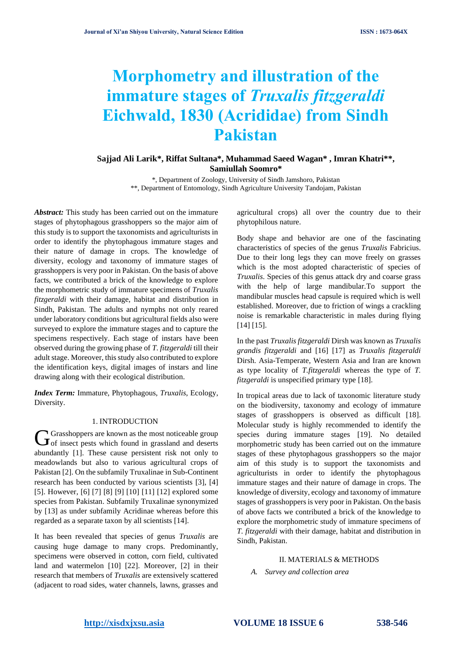# **Morphometry and illustration of the immature stages of** *Truxalis fitzgeraldi* **Eichwald, 1830 (Acrididae) from Sindh Pakistan**

# **Sajjad Ali Larik\*, Riffat Sultana\*, Muhammad Saeed Wagan\* , Imran Khatri\*\*, Samiullah Soomro\***

\*, Department of Zoology, University of Sindh Jamshoro, Pakistan \*\*, Department of Entomology, Sindh Agriculture University Tandojam, Pakistan

*Abstract:* This study has been carried out on the immature stages of phytophagous grasshoppers so the major aim of this study is to support the taxonomists and agriculturists in order to identify the phytophagous immature stages and their nature of damage in crops. The knowledge of diversity, ecology and taxonomy of immature stages of grasshoppers is very poor in Pakistan. On the basis of above facts, we contributed a brick of the knowledge to explore the morphometric study of immature specimens of *Truxalis fitzgeraldi* with their damage, habitat and distribution in Sindh, Pakistan. The adults and nymphs not only reared under laboratory conditions but agricultural fields also were surveyed to explore the immature stages and to capture the specimens respectively. Each stage of instars have been observed during the growing phase of *T. fitzgeraldi* till their adult stage. Moreover, this study also contributed to explore the identification keys, digital images of instars and line drawing along with their ecological distribution.

*Index Term:* Immature, Phytophagous, *Truxalis*, Ecology, Diversity.

#### 1. INTRODUCTION

**K** Grasshoppers are known as the most noticeable group  $G$ Grasshoppers are known as the most noticeable group of insect pests which found in grassland and deserts abundantly [1]. These cause persistent risk not only to meadowlands but also to various agricultural crops of Pakistan [2]. On the subfamily Truxalinae in Sub-Continent research has been conducted by various scientists [3], [4] [5]. However, [6] [7] [8] [9] [10] [11] [12] explored some species from Pakistan. Subfamily Truxalinae synonymized by [13] as under subfamily Acridinae whereas before this regarded as a separate taxon by all scientists [14].

It has been revealed that species of genus *Truxalis* are causing huge damage to many crops. Predominantly, specimens were observed in cotton, corn field, cultivated land and watermelon [10] [22]. Moreover, [2] in their research that members of *Truxalis* are extensively scattered (adjacent to road sides, water channels, lawns, grasses and

agricultural crops) all over the country due to their phytophilous nature.

Body shape and behavior are one of the fascinating characteristics of species of the genus *Truxalis* Fabricius. Due to their long legs they can move freely on grasses which is the most adopted characteristic of species of *Truxalis*. Species of this genus attack dry and coarse grass with the help of large mandibular.To support the mandibular muscles head capsule is required which is well established. Moreover, due to friction of wings a crackling noise is remarkable characteristic in males during flying [14] [15].

In the past *Truxalis fitzgeraldi* Dirsh was known as *Truxalis grandis fitzgeraldi* and [16] [17] as *Truxalis fitzgeraldi* Dirsh. Asia-Temperate, Western Asia and Iran are known as type locality of *T.fitzgeraldi* whereas the type of *T. fitzgeraldi* is unspecified primary type [18].

In tropical areas due to lack of taxonomic literature study on the biodiversity, taxonomy and ecology of immature stages of grasshoppers is observed as difficult [18]. Molecular study is highly recommended to identify the species during immature stages [19]. No detailed morphometric study has been carried out on the immature stages of these phytophagous grasshoppers so the major aim of this study is to support the taxonomists and agriculturists in order to identify the phytophagous immature stages and their nature of damage in crops. The knowledge of diversity, ecology and taxonomy of immature stages of grasshoppers is very poor in Pakistan. On the basis of above facts we contributed a brick of the knowledge to explore the morphometric study of immature specimens of *T. fitzgeraldi* with their damage, habitat and distribution in Sindh, Pakistan.

# II. MATERIALS & METHODS

*A. Survey and collection area*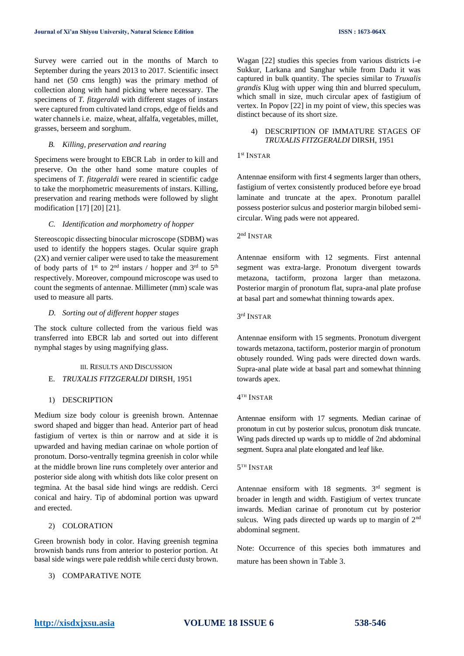Survey were carried out in the months of March to September during the years 2013 to 2017. Scientific insect hand net (50 cms length) was the primary method of collection along with hand picking where necessary. The specimens of *T. fitzgeraldi* with different stages of instars were captured from cultivated land crops, edge of fields and water channels i.e. maize, wheat, alfalfa, vegetables, millet, grasses, berseem and sorghum.

#### *B. Killing, preservation and rearing*

Specimens were brought to EBCR Lab in order to kill and preserve. On the other hand some mature couples of specimens of *T. fitzgeraldi* were reared in scientific cadge to take the morphometric measurements of instars. Killing, preservation and rearing methods were followed by slight modification [17] [20] [21].

#### *C. Identification and morphometry of hopper*

Stereoscopic dissecting binocular microscope (SDBM) was used to identify the hoppers stages. Ocular squire graph (2X) and vernier caliper were used to take the measurement of body parts of  $1<sup>st</sup>$  to  $2<sup>nd</sup>$  instars / hopper and  $3<sup>rd</sup>$  to  $5<sup>th</sup>$ respectively. Moreover, compound microscope was used to count the segments of antennae. Millimeter (mm) scale was used to measure all parts.

#### *D. Sorting out of different hopper stages*

The stock culture collected from the various field was transferred into EBCR lab and sorted out into different nymphal stages by using magnifying glass.

#### III. RESULTS AND DISCUSSION

### E. *TRUXALIS FITZGERALDI* DIRSH, 1951

#### 1) DESCRIPTION

Medium size body colour is greenish brown. Antennae sword shaped and bigger than head. Anterior part of head fastigium of vertex is thin or narrow and at side it is upwarded and having median carinae on whole portion of pronotum. Dorso-ventrally tegmina greenish in color while at the middle brown line runs completely over anterior and posterior side along with whitish dots like color present on tegmina. At the basal side hind wings are reddish. Cerci conical and hairy. Tip of abdominal portion was upward and erected.

#### 2) COLORATION

Green brownish body in color. Having greenish tegmina brownish bands runs from anterior to posterior portion. At basal side wings were pale reddish while cerci dusty brown.

# 3) COMPARATIVE NOTE

Wagan [22] studies this species from various districts i-e Sukkur, Larkana and Sanghar while from Dadu it was captured in bulk quantity. The species similar to *Truxalis grandis* Klug with upper wing thin and blurred speculum, which small in size, much circular apex of fastigium of vertex. In Popov [22] in my point of view, this species was distinct because of its short size.

### 4) DESCRIPTION OF IMMATURE STAGES OF *TRUXALIS FITZGERALDI* DIRSH, 1951

#### 1 st INSTAR

Antennae ensiform with first 4 segments larger than others, fastigium of vertex consistently produced before eye broad laminate and truncate at the apex. Pronotum parallel possess posterior sulcus and posterior margin bilobed semicircular. Wing pads were not appeared.

#### 2<sup>nd</sup> INSTAR

Antennae ensiform with 12 segments. First antennal segment was extra-large. Pronotum divergent towards metazona, tactiform, prozona larger than metazona. Posterior margin of pronotum flat, supra-anal plate profuse at basal part and somewhat thinning towards apex.

#### 3 rd INSTAR

Antennae ensiform with 15 segments. Pronotum divergent towards metazona, tactiform, posterior margin of pronotum obtusely rounded. Wing pads were directed down wards. Supra-anal plate wide at basal part and somewhat thinning towards apex.

#### 4 TH INSTAR

Antennae ensiform with 17 segments. Median carinae of pronotum in cut by posterior sulcus, pronotum disk truncate. Wing pads directed up wards up to middle of 2nd abdominal segment. Supra anal plate elongated and leaf like.

#### 5 TH INSTAR

Antennae ensiform with  $18$  segments.  $3<sup>rd</sup>$  segment is broader in length and width. Fastigium of vertex truncate inwards. Median carinae of pronotum cut by posterior sulcus. Wing pads directed up wards up to margin of 2<sup>nd</sup> abdominal segment.

Note: Occurrence of this species both immatures and mature has been shown in Table 3.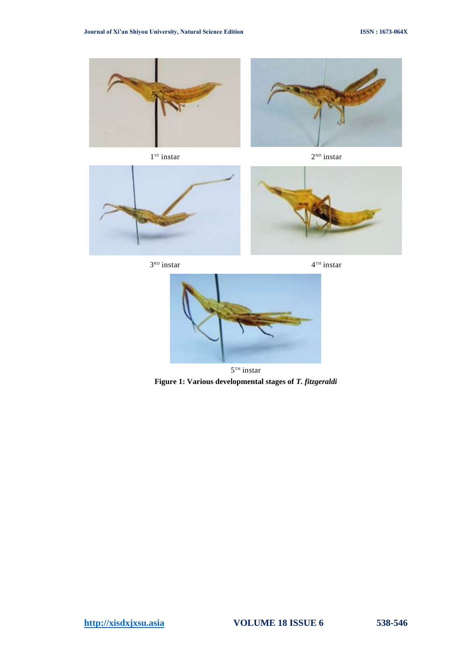

1 ST instar 2







 $3<sup>RD</sup>$  instar 4







 $5<sup>TH</sup>$  instar **Figure 1: Various developmental stages of** *T. fitzgeraldi*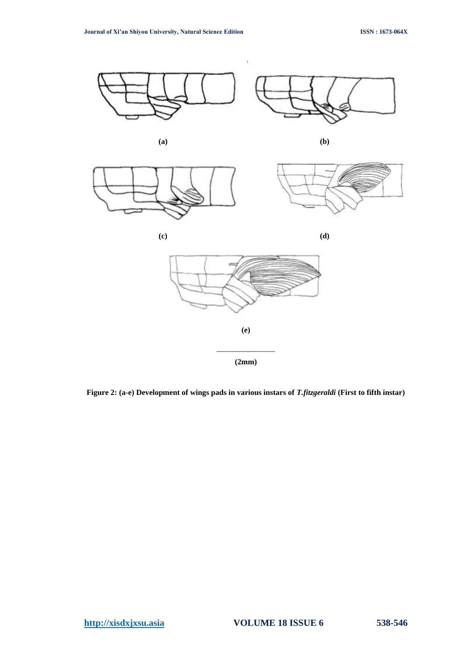

**Figure 2: (a-e) Development of wings pads in various instars of** *T.fitzgeraldi* **(First to fifth instar)**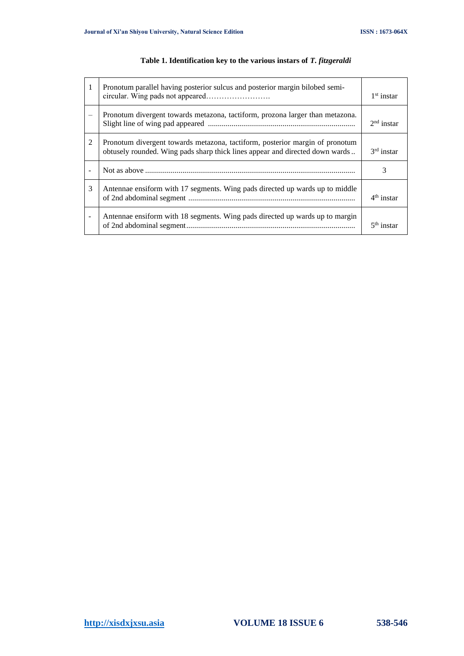| $\mathbf{1}$             | Pronotum parallel having posterior sulcus and posterior margin bilobed semi-                                                                                 | $1st$ instar |
|--------------------------|--------------------------------------------------------------------------------------------------------------------------------------------------------------|--------------|
|                          | Pronotum divergent towards metazona, tactiform, prozona larger than metazona.                                                                                | $2nd$ instar |
| 2                        | Pronotum divergent towards metazona, tactiform, posterior margin of pronotum<br>obtusely rounded. Wing pads sharp thick lines appear and directed down wards | $3rd$ instar |
|                          |                                                                                                                                                              | 3            |
| 3                        | Antennae ensiform with 17 segments. Wing pads directed up wards up to middle                                                                                 | $4th$ instar |
| $\overline{\phantom{a}}$ | Antennae ensiform with 18 segments. Wing pads directed up wards up to margin                                                                                 | $5th$ instar |

# **Table 1. Identification key to the various instars of** *T. fitzgeraldi*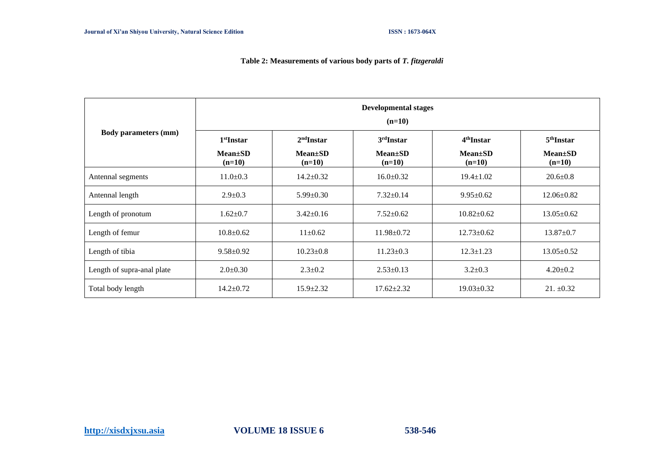# **Table 2: Measurements of various body parts of** *T. fitzgeraldi*

|                             | <b>Developmental stages</b><br>$(n=10)$ |                           |                           |                           |                           |  |  |  |
|-----------------------------|-----------------------------------------|---------------------------|---------------------------|---------------------------|---------------------------|--|--|--|
| <b>Body parameters (mm)</b> | $2nd$ Instar<br>$1st$ Instar            |                           | $3rd$ Instar              | 4 <sup>th</sup> Instar    | 5 <sup>th</sup> Instar    |  |  |  |
|                             | $Mean \pm SD$<br>$(n=10)$               | $Mean \pm SD$<br>$(n=10)$ | $Mean \pm SD$<br>$(n=10)$ | $Mean \pm SD$<br>$(n=10)$ | $Mean \pm SD$<br>$(n=10)$ |  |  |  |
| Antennal segments           | $11.0 \pm 0.3$                          | $14.2 \pm 0.32$           | $16.0 \pm 0.32$           | $19.4 \pm 1.02$           | $20.6 \pm 0.8$            |  |  |  |
| Antennal length             | $2.9 \pm 0.3$                           | $5.99 \pm 0.30$           | $7.32 \pm 0.14$           | $9.95 \pm 0.62$           | $12.06 \pm 0.82$          |  |  |  |
| Length of pronotum          | $1.62 \pm 0.7$                          | $3.42 \pm 0.16$           | $7.52 \pm 0.62$           | $10.82 \pm 0.62$          | $13.05 \pm 0.62$          |  |  |  |
| Length of femur             | $10.8 + 0.62$                           | $11+0.62$                 | $11.98 \pm 0.72$          | $12.73 \pm 0.62$          | $13.87 \pm 0.7$           |  |  |  |
| Length of tibia             | $9.58 \pm 0.92$                         | $10.23 \pm 0.8$           | $11.23 \pm 0.3$           | $12.3 \pm 1.23$           | $13.05 \pm 0.52$          |  |  |  |
| Length of supra-anal plate  | $2.0 \pm 0.30$                          | $2.3 \pm 0.2$             | $2.53 \pm 0.13$           | $3.2 \pm 0.3$             | $4.20 \pm 0.2$            |  |  |  |
| Total body length           | $14.2 \pm 0.72$                         | $15.9 \pm 2.32$           | $17.62 \pm 2.32$          | $19.03 \pm 0.32$          | $21. \pm 0.32$            |  |  |  |

**[http://xisdxjxsu.asia](http://xisdxjxsu.asia/) VOLUME 18 ISSUE 6 538-546**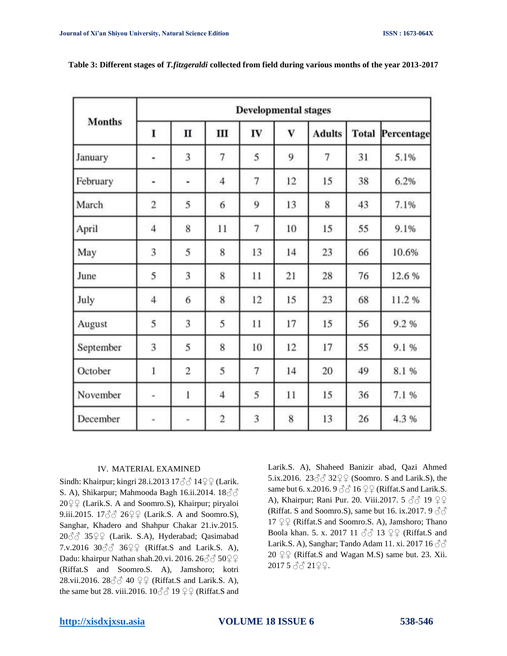|               | <b>Developmental stages</b> |   |                |                |          |               |              |            |  |
|---------------|-----------------------------|---|----------------|----------------|----------|---------------|--------------|------------|--|
| <b>Months</b> | I                           | п | Ш              | IV             | $\bf{V}$ | <b>Adults</b> | <b>Total</b> | Percentage |  |
| January       | ۰                           | 3 | 7              | 5              | 9        | 7             | 31           | 5.1%       |  |
| February      | ۷                           | ۷ | $\overline{4}$ | $\overline{7}$ | 12       | 15            | 38           | 6.2%       |  |
| March         | $\overline{2}$              | 5 | 6              | 9              | 13       | 8             | 43           | 7.1%       |  |
| April         | $\overline{4}$              | 8 | 11             | $\overline{7}$ | 10       | 15            | 55           | 9.1%       |  |
| May           | 3                           | 5 | 8              | 13             | 14       | 23            | 66           | 10.6%      |  |
| June          | 5                           | 3 | 8              | 11             | 21       | 28            | 76           | 12.6 %     |  |
| July          | $\overline{\mathcal{A}}$    | 6 | 8              | 12             | 15       | 23            | 68           | 11.2%      |  |
| August        | 5                           | 3 | 5              | 11             | 17       | 15            | 56           | 9.2%       |  |
| September     | 3                           | 5 | 8              | 10             | 12       | 17            | 55           | 9.1%       |  |
| October       | 1                           | 2 | 5              | 7              | 14       | 20            | 49           | 8.1%       |  |
| November      | u                           | 1 | $\overline{4}$ | 5              | 11       | 15            | 36           | 7.1 %      |  |
| December      | ٠                           |   | $\dot{2}$      | 3              | 8        | 13            | 26           | 4.3%       |  |

**Table 3: Different stages of** *T.fitzgeraldi* **collected from field during various months of the year 2013-2017**

# IV. MATERIAL EXAMINED

Sindh: Khairpur; kingri 28.i.2013 17♂♂ 14♀♀ (Larik. S. A), Shikarpur; Mahmooda Bagh 16.ii.2014. 18 $\Im$  $20\sqrt{2}$  (Larik.S. A and Soomro.S), Khairpur; piryaloi 9.iii.2015.  $17\text{eV}$  26 $\text{eV}$  (Larik.S. A and Soomro.S), Sanghar, Khadero and Shahpur Chakar 21.iv.2015. 20♂♂ 35♀♀ (Larik. S.A), Hyderabad; Qasimabad 7.v.2016  $30\degree$   $36\degree$  (Riffat.S and Larik.S. A), Dadu: khairpur Nathan shah.20.vi. 2016. 26♂♂ 50♀♀ (Riffat.S and Soomro.S. A), Jamshoro; kotri 28.vii.2016. 28 $\Im$  $\Im$  40  $\Im$  Q (Riffat.S and Larik.S. A), the same but 28. viii.2016.  $10\text{eV}$  19  $\text{eV}$  (Riffat.S and Larik.S. A), Shaheed Banizir abad, Qazi Ahmed 5.ix.2016. 23♂♂ 32♀♀ (Soomro. S and Larik.S), the same but 6. x.2016. 9  $\textcircled{3}$  16  $\textcircled{2}$  (Riffat.S and Larik.S. A), Khairpur; Rani Pur. 20. Viii.2017. 5 3 ∂ 19 ♀♀ (Riffat. S and Soomro.S), same but 16. ix.2017. 9  $\Im$  $17$   $22$  (Riffat.S and Soomro.S. A), Jamshoro; Thano Boola khan. 5. x. 2017 11  $\Im$  13  $\Im$  (Riffat.S and Larik.S. A), Sanghar; Tando Adam 11. xi. 2017 16  $\Im$  $20 \n\textcircled{2} \n\textcircled{Riffat.S}$  and Wagan M.S) same but. 23. Xii. 2017 5 ♂♂ 21♀♀.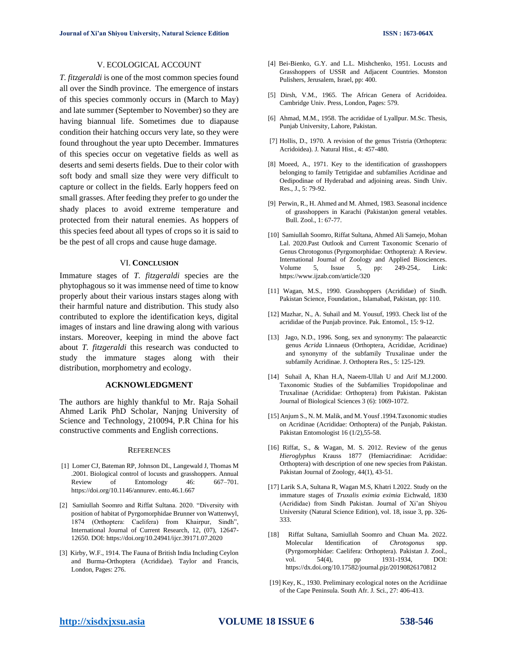# V. ECOLOGICAL ACCOUNT

*T. fitzgeraldi* is one of the most common species found all over the Sindh province. The emergence of instars of this species commonly occurs in (March to May) and late summer (September to November) so they are having biannual life. Sometimes due to diapause condition their hatching occurs very late, so they were found throughout the year upto December. Immatures of this species occur on vegetative fields as well as deserts and semi deserts fields. Due to their color with soft body and small size they were very difficult to capture or collect in the fields. Early hoppers feed on small grasses. After feeding they prefer to go under the shady places to avoid extreme temperature and protected from their natural enemies. As hoppers of this species feed about all types of crops so it is said to be the pest of all crops and cause huge damage.

#### VI. **CONCLUSION**

Immature stages of *T. fitzgeraldi* species are the phytophagous so it was immense need of time to know properly about their various instars stages along with their harmful nature and distribution. This study also contributed to explore the identification keys, digital images of instars and line drawing along with various instars. Moreover, keeping in mind the above fact about *T. fitzgeraldi* this research was conducted to study the immature stages along with their distribution, morphometry and ecology.

#### **ACKNOWLEDGMENT**

The authors are highly thankful to Mr. Raja Sohail Ahmed Larik PhD Scholar, Nanjng University of Science and Technology, 210094, P.R China for his constructive comments and English corrections.

#### **REFERENCES**

- [1] Lomer CJ, Bateman RP, Johnson DL, Langewald J, Thomas M .2001. Biological control of locusts and grasshoppers. Annual Review of Entomology 46: 667-701. [https://doi.org/10.1146/annurev. ento.46.1.667](https://doi.org/10.1146/annurev.%20ento.46.1.667)
- [2] Samiullah Soomro and Riffat Sultana. 2020. "Diversity with position of habitat of Pyrgomorphidae Brunner von Wattenwyl, 1874 (Orthoptera: Caelifera) from Khairpur, Sindh", International Journal of Current Research, 12, (07), 12647- 12650. DOI[: https://doi.org/10.24941/ijcr.39171.07.2020](https://doi.org/10.24941/ijcr.39171.07.2020)
- [3] Kirby, W.F., 1914. The Fauna of British India Including Ceylon and Burma-Orthoptera (Acrididae). Taylor and Francis, London, Pages: 276.
- [4] Bei-Bienko, G.Y. and L.L. Mishchenko, 1951. Locusts and Grasshoppers of USSR and Adjacent Countries. Monston Pulishers, Jerusalem, Israel, pp: 400.
- [5] Dirsh, V.M., 1965. The African Genera of Acridoidea. Cambridge Univ. Press, London, Pages: 579.
- [6] Ahmad, M.M., 1958. The acrididae of Lyallpur. M.Sc. Thesis, Punjab University, Lahore, Pakistan.
- [7] Hollis, D., 1970. A revision of the genus Tristria (Orthoptera: Acridoidea). J. Natural Hist., 4: 457-480.
- [8] Moeed, A., 1971. Key to the identification of grasshoppers belonging to family Tetrigidae and subfamilies Acridinae and Oedipodinae of Hyderabad and adjoining areas. Sindh Univ. Res., J., 5: 79-92.
- [9] Perwin, R., H. Ahmed and M. Ahmed, 1983. Seasonal incidence of grasshoppers in Karachi (Pakistan)on general vetables. Bull. Zool., 1: 67-77.
- [10] Samiullah Soomro, Riffat Sultana, Ahmed Ali Samejo, Mohan Lal. 2020.Past Outlook and Current Taxonomic Scenario of Genus Chrotogonus (Pyrgomorphidae: Orthoptera): A Review. International Journal of Zoology and Applied Biosciences. Volume 5, Issue 5, pp: 249-254,. Link: <https://www.ijzab.com/article/320>
- [11] Wagan, M.S., 1990. Grasshoppers (Acrididae) of Sindh. Pakistan Science, Foundation., Islamabad, Pakistan, pp: 110.
- [12] Mazhar, N., A. Suhail and M. Yousuf, 1993. Check list of the acrididae of the Punjab province. Pak. Entomol., 15: 9-12.
- [13] Jago, N.D., 1996. Song, sex and synonymy: The palaearctic genus *Acrida* Linnaeus (Orthoptera, Acrididae, Acridinae) and synonymy of the subfamily Truxalinae under the subfamily Acridinae. J. Orthoptera Res., 5: 125-129.
- [14] Suhail A, Khan H.A, Naeem-Ullah U and Arif M.J.2000. Taxonomic Studies of the Subfamilies Tropidopolinae and Truxalinae (Acrididae: Orthoptera) from Pakistan. Pakistan Journal of Biological Sciences 3 (6): 1069-1072.
- [15] Anjum S., N. M. Malik, and M. Yousf .1994.Taxonomic studies on Acridinae (Acrididae: Orthoptera) of the Punjab, Pakistan. Pakistan Entomologist 16 (1/2),55-58.
- [16] Riffat, S., & Wagan, M. S. 2012. Review of the genus *Hieroglyphus* Krauss 1877 (Hemiacridinae: Acrididae: Orthoptera) with description of one new species from Pakistan. Pakistan Journal of Zoology, 44(1), 43-51.
- [17] Larik S.A, Sultana R, Wagan M.S, Khatri I.2022. Study on the immature stages of *Truxalis eximia eximia* Eichwald, 1830 (Acrididae) from Sindh Pakistan. Journal of Xi'an Shiyou University (Natural Science Edition), vol. 18, issue 3, pp. 326- 333.
- [18] Riffat Sultana, Samiullah Soomro and Chuan Ma. 2022. Molecular Identification of *Chrotogonus* spp. (Pyrgomorphidae: Caelifera: Orthoptera). Pakistan J. Zool., vol. 54(4), pp 1931-1934, DOI: <https://dx.doi.org/10.17582/journal.pjz/20190826170812>
- [19] Key, K., 1930. Preliminary ecological notes on the Acridiinae of the Cape Peninsula. South Afr. J. Sci., 27: 406-413.